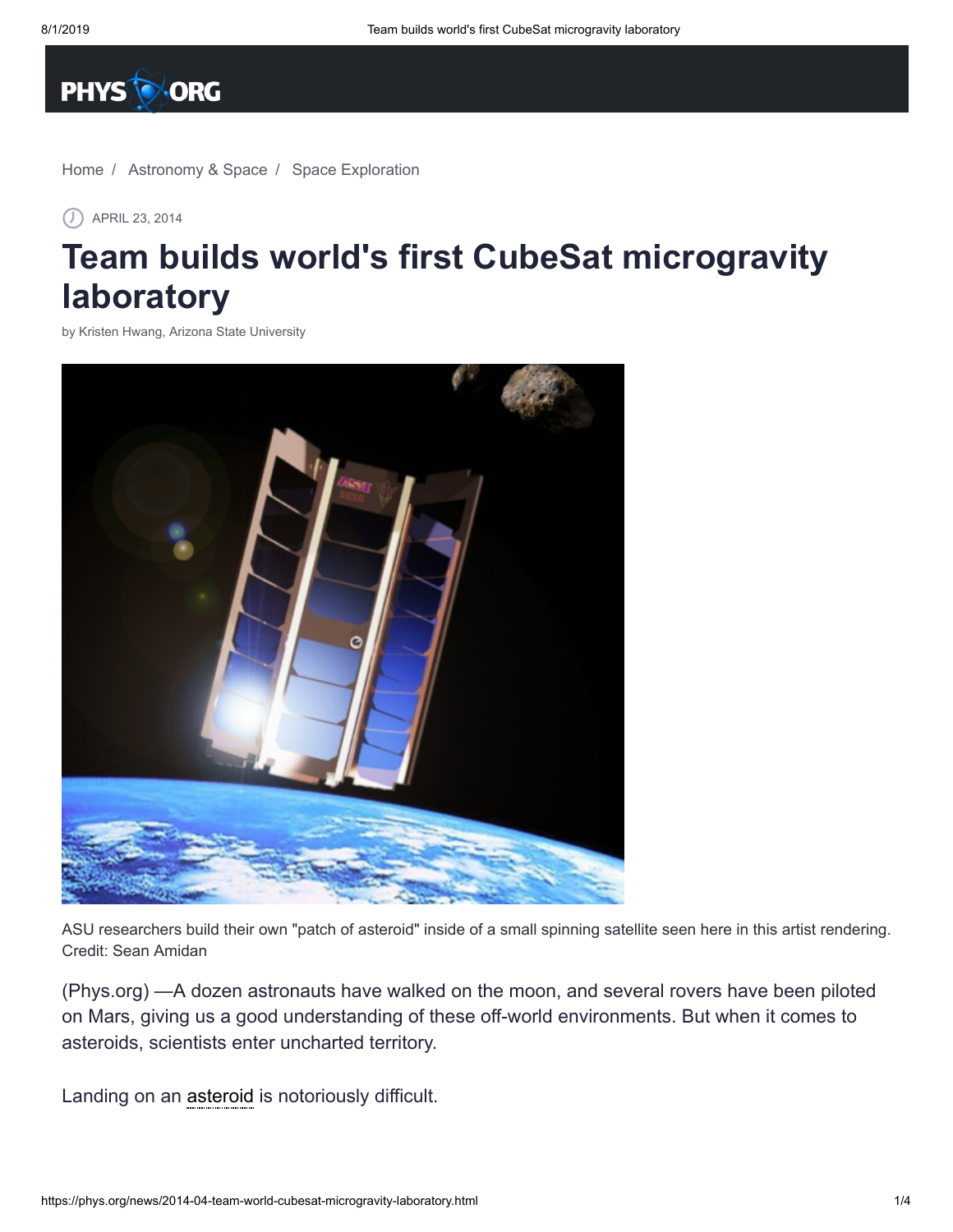

[Home](https://phys.org/) / [Astronomy & Space](https://phys.org/space-news/) / [Space Exploration](https://phys.org/space-news/space-exploration/)

APRIL 23, 2014

## **Team builds world's first CubeSat microgravity laboratory**

by Kristen Hwang, Arizona State [University](http://www.asu.edu/)



ASU researchers build their own "patch of asteroid" inside of a small spinning satellite seen here in this artist rendering. Credit: Sean Amidan

(Phys.org) —A dozen astronauts have walked on the moon, and several rovers have been piloted on Mars, giving us a good understanding of these off-world environments. But when it comes to asteroids, scientists enter uncharted territory.

Landing on an [asteroid](https://phys.org/tags/asteroid/) is notoriously difficult.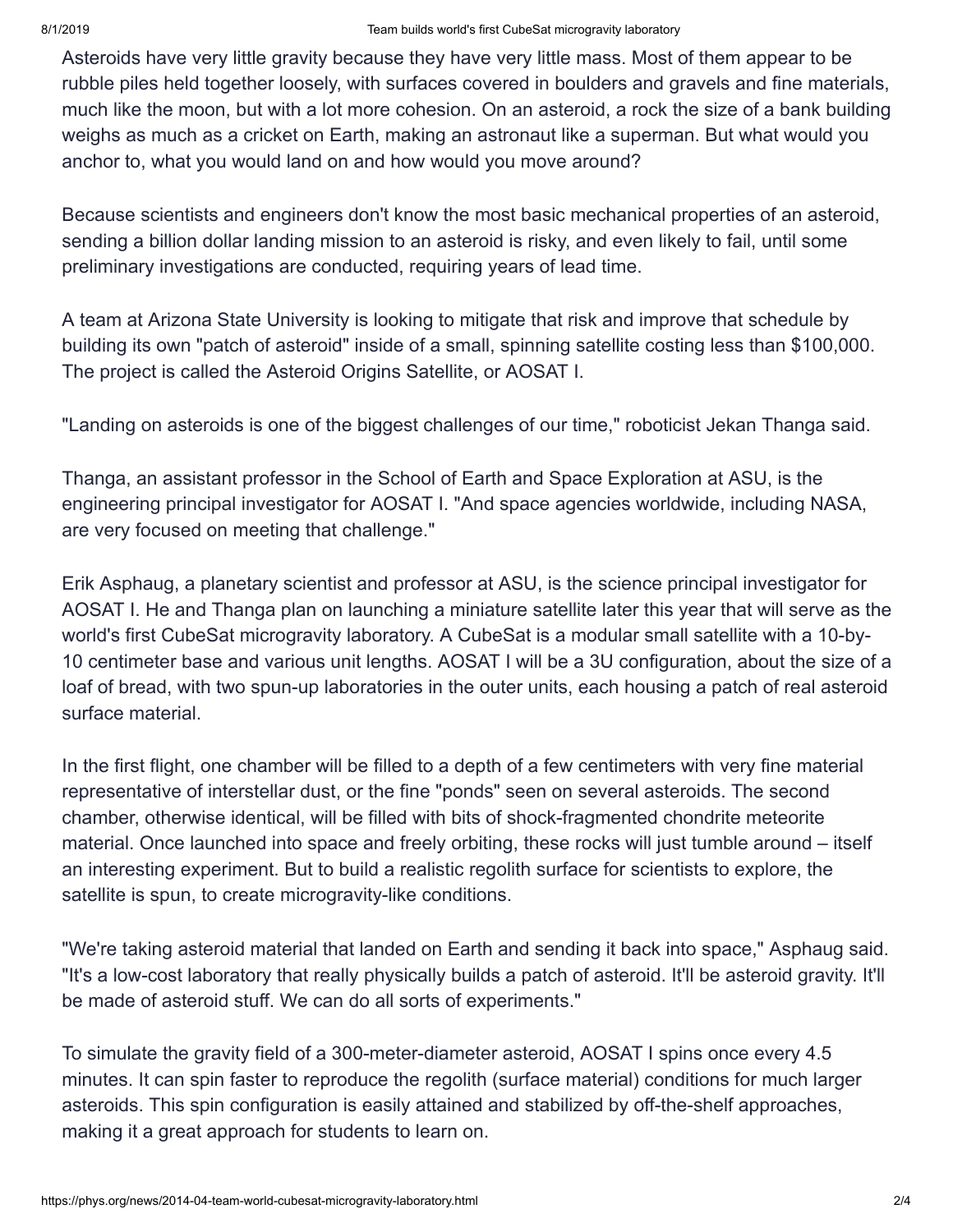Asteroids have very little gravity because they have very little mass. Most of them appear to be rubble piles held together loosely, with surfaces covered in boulders and gravels and fine materials, much like the moon, but with a lot more cohesion. On an asteroid, a rock the size of a bank building weighs as much as a cricket on Earth, making an astronaut like a superman. But what would you anchor to, what you would land on and how would you move around?

Because scientists and engineers don't know the most basic mechanical properties of an asteroid, sending a billion dollar landing mission to an asteroid is risky, and even likely to fail, until some preliminary investigations are conducted, requiring years of lead time.

A team at Arizona State University is looking to mitigate that risk and improve that schedule by building its own "patch of asteroid" inside of a small, spinning satellite costing less than \$100,000. The project is called the Asteroid Origins Satellite, or AOSAT I.

"Landing on asteroids is one of the biggest challenges of our time," roboticist Jekan Thanga said.

Thanga, an assistant professor in the School of Earth and Space Exploration at ASU, is the engineering principal investigator for AOSAT I. "And space agencies worldwide, including NASA, are very focused on meeting that challenge."

Erik Asphaug, a planetary scientist and professor at ASU, is the science principal investigator for AOSAT I. He and Thanga plan on launching a miniature satellite later this year that will serve as the world's first CubeSat microgravity laboratory. A CubeSat is a modular small satellite with a 10-by-10 centimeter base and various unit lengths. AOSAT I will be a 3U configuration, about the size of a loaf of bread, with two spun-up laboratories in the outer units, each housing a patch of real asteroid surface material.

In the first flight, one chamber will be filled to a depth of a few centimeters with very fine material representative of interstellar dust, or the fine "ponds" seen on several asteroids. The second chamber, otherwise identical, will be filled with bits of shock-fragmented chondrite meteorite material. Once launched into space and freely orbiting, these rocks will just tumble around – itself an interesting experiment. But to build a realistic regolith surface for scientists to explore, the satellite is spun, to create microgravity-like conditions.

"We're taking asteroid material that landed on Earth and sending it back into space," Asphaug said. "It's a low-cost laboratory that really physically builds a patch of asteroid. It'll be asteroid gravity. It'll be made of asteroid stuff. We can do all sorts of experiments."

To simulate the gravity field of a 300-meter-diameter asteroid, AOSAT I spins once every 4.5 minutes. It can spin faster to reproduce the regolith (surface material) conditions for much larger asteroids. This spin configuration is easily attained and stabilized by off-the-shelf approaches, making it a great approach for students to learn on.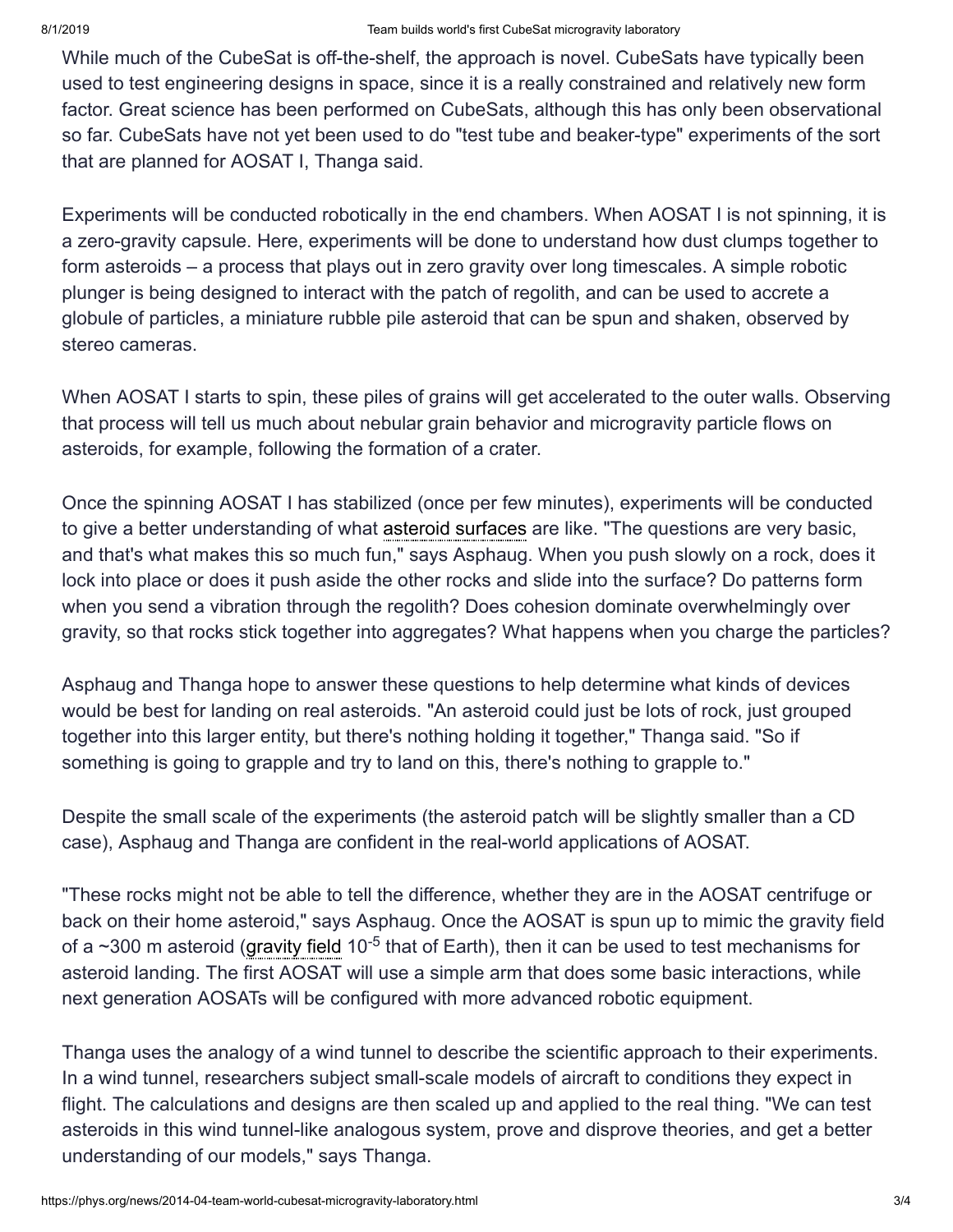While much of the CubeSat is off-the-shelf, the approach is novel. CubeSats have typically been used to test engineering designs in space, since it is a really constrained and relatively new form factor. Great science has been performed on CubeSats, although this has only been observational so far. CubeSats have not yet been used to do "test tube and beaker-type" experiments of the sort that are planned for AOSAT I, Thanga said.

Experiments will be conducted robotically in the end chambers. When AOSAT I is not spinning, it is a zero-gravity capsule. Here, experiments will be done to understand how dust clumps together to form asteroids – a process that plays out in zero gravity over long timescales. A simple robotic plunger is being designed to interact with the patch of regolith, and can be used to accrete a globule of particles, a miniature rubble pile asteroid that can be spun and shaken, observed by stereo cameras.

When AOSAT I starts to spin, these piles of grains will get accelerated to the outer walls. Observing that process will tell us much about nebular grain behavior and microgravity particle flows on asteroids, for example, following the formation of a crater.

Once the spinning AOSAT I has stabilized (once per few minutes), experiments will be conducted to give a better understanding of what asteroid [surfaces](https://phys.org/tags/asteroid+surfaces/) are like. "The questions are very basic, and that's what makes this so much fun," says Asphaug. When you push slowly on a rock, does it lock into place or does it push aside the other rocks and slide into the surface? Do patterns form when you send a vibration through the regolith? Does cohesion dominate overwhelmingly over gravity, so that rocks stick together into aggregates? What happens when you charge the particles?

Asphaug and Thanga hope to answer these questions to help determine what kinds of devices would be best for landing on real asteroids. "An asteroid could just be lots of rock, just grouped together into this larger entity, but there's nothing holding it together," Thanga said. "So if something is going to grapple and try to land on this, there's nothing to grapple to."

Despite the small scale of the experiments (the asteroid patch will be slightly smaller than a CD case), Asphaug and Thanga are confident in the real-world applications of AOSAT.

"These rocks might not be able to tell the difference, whether they are in the AOSAT centrifuge or back on their home asteroid," says Asphaug. Once the AOSAT is spun up to mimic the gravity field of a  $\sim$ 300 m asteroid [\(gravity](https://phys.org/tags/gravity+field/) field 10<sup>-5</sup> that of Earth), then it can be used to test mechanisms for asteroid landing. The first AOSAT will use a simple arm that does some basic interactions, while next generation AOSATs will be configured with more advanced robotic equipment.

Thanga uses the analogy of a wind tunnel to describe the scientific approach to their experiments. In a wind tunnel, researchers subject small-scale models of aircraft to conditions they expect in flight. The calculations and designs are then scaled up and applied to the real thing. "We can test asteroids in this wind tunnel-like analogous system, prove and disprove theories, and get a better understanding of our models," says Thanga.